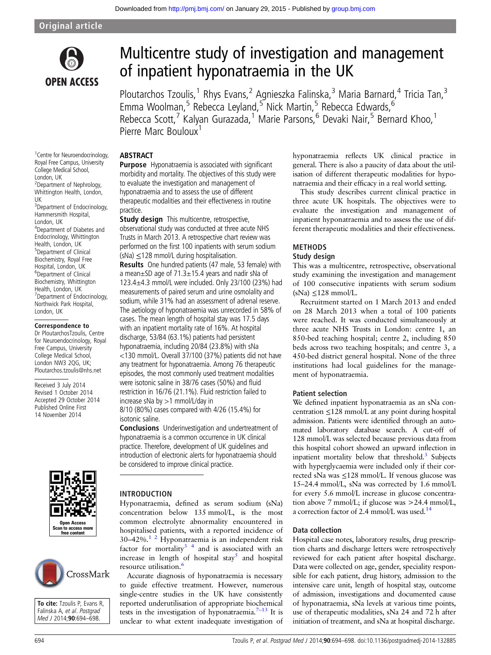

# Multicentre study of investigation and management of inpatient hyponatraemia in the UK

Ploutarchos Tzoulis,<sup>1</sup> Rhys Evans,<sup>2</sup> Agnieszka Falinska,<sup>3</sup> Maria Barnard,<sup>4</sup> Tricia Tan,<sup>3</sup> Emma Woolman,<sup>5</sup> Rebecca Leyland,<sup>5</sup> Nick Martin,<sup>5</sup> Rebecca Edwards,<sup>6</sup> Rebecca Scott,<sup>7</sup> Kalyan Gurazada,<sup>1</sup> Marie Parsons,<sup>6</sup> Devaki Nair,<sup>5</sup> Bernard Khoo,<sup>1</sup> Pierre Marc Bouloux

#### **ABSTRACT**

Purpose Hyponatraemia is associated with significant morbidity and mortality. The objectives of this study were to evaluate the investigation and management of hyponatraemia and to assess the use of different therapeutic modalities and their effectiveness in routine practice.

**Study design** This multicentre, retrospective, observational study was conducted at three acute NHS Trusts in March 2013. A retrospective chart review was performed on the first 100 inpatients with serum sodium  $(Na) \leq 128$  mmol/L during hospitalisation.

Results One hundred patients (47 male, 53 female) with a mean±SD age of 71.3±15.4 years and nadir sNa of 123.4±4.3 mmol/L were included. Only 23/100 (23%) had measurements of paired serum and urine osmolality and sodium, while 31% had an assessment of adrenal reserve. The aetiology of hyponatraemia was unrecorded in 58% of cases. The mean length of hospital stay was 17.5 days with an inpatient mortality rate of 16%. At hospital discharge, 53/84 (63.1%) patients had persistent hyponatraemia, including 20/84 (23.8%) with sNa <130 mmol/L. Overall 37/100 (37%) patients did not have any treatment for hyponatraemia. Among 76 therapeutic episodes, the most commonly used treatment modalities were isotonic saline in 38/76 cases (50%) and fluid restriction in 16/76 (21.1%). Fluid restriction failed to increase sNa by >1 mmol/L/day in

8/10 (80%) cases compared with 4/26 (15.4%) for isotonic saline.

Conclusions Underinvestigation and undertreatment of hyponatraemia is a common occurrence in UK clinical practice. Therefore, development of UK guidelines and introduction of electronic alerts for hyponatraemia should be considered to improve clinical practice.



To cite: Tzoulis P, Evans R, Falinska A, et al. Postgrad Med J 2014;90:694-698.

CrossMark



Hyponatraemia, defined as serum sodium (sNa) concentration below 135 mmol/L, is the most common electrolyte abnormality encountered in hospitalised patients, with a reported incidence of 30–42%[.1 2](#page-3-0) Hyponatraemia is an independent risk factor for mortality $3<sup>4</sup>$  and is associated with an increase in length of hospital stay<sup>[5](#page-3-0)</sup> and hospital resource utilisation.[6](#page-3-0)

Accurate diagnosis of hyponatraemia is necessary to guide effective treatment. However, numerous single-centre studies in the UK have consistently reported underutilisation of appropriate biochemical tests in the investigation of hyponatraemia.<sup>7-[13](#page-3-0)</sup> It is unclear to what extent inadequate investigation of hyponatraemia reflects UK clinical practice in general. There is also a paucity of data about the utilisation of different therapeutic modalities for hyponatraemia and their efficacy in a real world setting.

This study describes current clinical practice in three acute UK hospitals. The objectives were to evaluate the investigation and management of inpatient hyponatraemia and to assess the use of different therapeutic modalities and their effectiveness.

## METHODS

#### Study design

This was a multicentre, retrospective, observational study examining the investigation and management of 100 consecutive inpatients with serum sodium  $(sNa) \leq 128$  mmol/L.

Recruitment started on 1 March 2013 and ended on 28 March 2013 when a total of 100 patients were reached. It was conducted simultaneously at three acute NHS Trusts in London: centre 1, an 850-bed teaching hospital; centre 2, including 850 beds across two teaching hospitals; and centre 3, a 450-bed district general hospital. None of the three institutions had local guidelines for the management of hyponatraemia.

#### Patient selection

We defined inpatient hyponatraemia as an sNa concentration ≤128 mmol/L at any point during hospital admission. Patients were identified through an automated laboratory database search. A cut-off of 128 mmol/L was selected because previous data from this hospital cohort showed an upward inflection in inpatient mortality below that threshold. $3$  Subjects with hyperglycaemia were included only if their corrected sNa was ≤128 mmol/L. If venous glucose was 15–24.4 mmol/L, sNa was corrected by 1.6 mmol/L for every 5.6 mmol/L increase in glucose concentration above 7 mmol/L; if glucose was >24.4 mmol/L, a correction factor of 2.4 mmol/L was used.<sup>[14](#page-4-0)</sup>

#### Data collection

Hospital case notes, laboratory results, drug prescription charts and discharge letters were retrospectively reviewed for each patient after hospital discharge. Data were collected on age, gender, speciality responsible for each patient, drug history, admission to the intensive care unit, length of hospital stay, outcome of admission, investigations and documented cause of hyponatraemia, sNa levels at various time points, use of therapeutic modalities, sNa 24 and 72 h after initiation of treatment, and sNa at hospital discharge.

Royal Free Campus, University College Medical School, London, UK 2 Department of Nephrology, Whittington Health, London, UK 3 Department of Endocrinology, Hammersmith Hospital, London, UK 4 Department of Diabetes and Endocrinology, Whittington Health, London, UK 5 Department of Clinical Biochemistry, Royal Free Hospital, London, UK 6 Department of Clinical Biochemistry, Whittington Health, London, UK 7 Department of Endocrinology, Northwick Park Hospital,

<sup>1</sup> Centre for Neuroendocrinology,

#### Correspondence to

London, UK

Dr PloutarchosTzoulis, Centre for Neuroendocrinology, Royal Free Campus, University College Medical School, London NW3 2QG, UK; Ploutarchos.tzoulis@nhs.net

Received 3 July 2014 Revised 1 October 2014 Accepted 29 October 2014 Published Online First 14 November 2014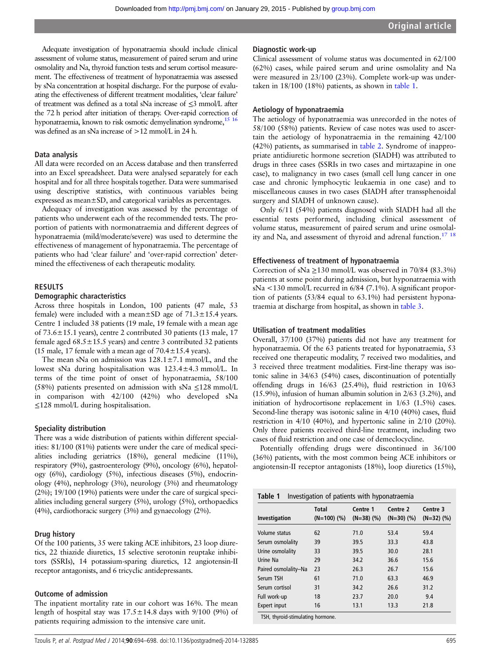Adequate investigation of hyponatraemia should include clinical assessment of volume status, measurement of paired serum and urine osmolality and Na, thyroid function tests and serum cortisol measurement. The effectiveness of treatment of hyponatraemia was assessed by sNa concentration at hospital discharge. For the purpose of evaluating the effectiveness of different treatment modalities, 'clear failure' of treatment was defined as a total sNa increase of ≤3 mmol/L after the 72 h period after initiation of therapy. Over-rapid correction of hyponatraemia, known to risk osmotic demyelination syndrome.<sup>15 16</sup> was defined as an sNa increase of >12 mmol/L in 24 h.

#### Data analysis

All data were recorded on an Access database and then transferred into an Excel spreadsheet. Data were analysed separately for each hospital and for all three hospitals together. Data were summarised using descriptive statistics, with continuous variables being expressed as mean±SD, and categorical variables as percentages.

Adequacy of investigation was assessed by the percentage of patients who underwent each of the recommended tests. The proportion of patients with normonatraemia and different degrees of hyponatraemia (mild/moderate/severe) was used to determine the effectiveness of management of hyponatraemia. The percentage of patients who had 'clear failure' and 'over-rapid correction' determined the effectiveness of each therapeutic modality.

#### RESULTS

#### Demographic characteristics

Across three hospitals in London, 100 patients (47 male, 53 female) were included with a mean $\pm$ SD age of 71.3 $\pm$ 15.4 years. Centre 1 included 38 patients (19 male, 19 female with a mean age of 73.6±15.1 years), centre 2 contributed 30 patients (13 male, 17 female aged  $68.5 \pm 15.5$  years) and centre 3 contributed 32 patients (15 male, 17 female with a mean age of  $70.4 \pm 15.4$  years).

The mean sNa on admission was  $128.1 \pm 7.1$  mmol/L, and the lowest sNa during hospitalisation was 123.4±4.3 mmol/L. In terms of the time point of onset of hyponatraemia, 58/100 (58%) patients presented on admission with sNa ≤128 mmol/L in comparison with 42/100 (42%) who developed sNa ≤128 mmol/L during hospitalisation.

#### Speciality distribution

There was a wide distribution of patients within different specialities: 81/100 (81%) patients were under the care of medical specialities including geriatrics (18%), general medicine (11%), respiratory (9%), gastroenterology (9%), oncology (6%), hepatology (6%), cardiology (5%), infectious diseases (5%), endocrinology (4%), nephrology (3%), neurology (3%) and rheumatology (2%); 19/100 (19%) patients were under the care of surgical specialities including general surgery (5%), urology (5%), orthopaedics (4%), cardiothoracic surgery (3%) and gynaecology (2%).

#### Drug history

Of the 100 patients, 35 were taking ACE inhibitors, 23 loop diuretics, 22 thiazide diuretics, 15 selective serotonin reuptake inhibitors (SSRIs), 14 potassium-sparing diuretics, 12 angiotensin-II receptor antagonists, and 6 tricyclic antidepressants.

#### Outcome of admission

The inpatient mortality rate in our cohort was 16%. The mean length of hospital stay was  $17.5 \pm 14.8$  days with  $9/100$  (9%) of patients requiring admission to the intensive care unit.

#### Diagnostic work-up

Clinical assessment of volume status was documented in 62/100 (62%) cases, while paired serum and urine osmolality and Na were measured in 23/100 (23%). Complete work-up was undertaken in 18/100 (18%) patients, as shown in table 1.

#### Aetiology of hyponatraemia

The aetiology of hyponatraemia was unrecorded in the notes of 58/100 (58%) patients. Review of case notes was used to ascertain the aetiology of hyponatraemia in the remaining 42/100 (42%) patients, as summarised in [table 2](#page-2-0). Syndrome of inappropriate antidiuretic hormone secretion (SIADH) was attributed to drugs in three cases (SSRIs in two cases and mirtazapine in one case), to malignancy in two cases (small cell lung cancer in one case and chronic lymphocytic leukaemia in one case) and to miscellaneous causes in two cases (SIADH after transsphenoidal surgery and SIADH of unknown cause).

Only 6/11 (54%) patients diagnosed with SIADH had all the essential tests performed, including clinical assessment of volume status, measurement of paired serum and urine osmolal-ity and Na, and assessment of thyroid and adrenal function.<sup>[17 18](#page-4-0)</sup>

#### Effectiveness of treatment of hyponatraemia

Correction of sNa  $\geq$ 130 mmol/L was observed in 70/84 (83.3%) patients at some point during admission, but hyponatraemia with sNa <130 mmol/L recurred in 6/84 (7.1%). A significant proportion of patients (53/84 equal to 63.1%) had persistent hyponatraemia at discharge from hospital, as shown in [table 3.](#page-2-0)

#### Utilisation of treatment modalities

Overall, 37/100 (37%) patients did not have any treatment for hyponatraemia. Of the 63 patients treated for hyponatraemia, 53 received one therapeutic modality, 7 received two modalities, and 3 received three treatment modalities. First-line therapy was isotonic saline in 34/63 (54%) cases, discontinuation of potentially offending drugs in 16/63 (25.4%), fluid restriction in 10/63 (15.9%), infusion of human albumin solution in 2/63 (3.2%), and initiation of hydrocortisone replacement in 1/63 (1.5%) cases. Second-line therapy was isotonic saline in 4/10 (40%) cases, fluid restriction in 4/10 (40%), and hypertonic saline in 2/10 (20%). Only three patients received third-line treatment, including two cases of fluid restriction and one case of demeclocycline.

Potentially offending drugs were discontinued in 36/100 (36%) patients, with the most common being ACE inhibitors or angiotensin-II receptor antagonists (18%), loop diuretics (15%),

| Investigation        | <b>Total</b><br>$(N=100)$ (%) | Centre 1<br>$(N=38)$ $(\% )$ | Centre 2<br>$(N=30)$ $(%)$ | Centre 3<br>$(N=32)$ $(\%)$ |
|----------------------|-------------------------------|------------------------------|----------------------------|-----------------------------|
| Volume status        | 62                            | 71.0                         | 53.4                       | 59.4                        |
| Serum osmolality     | 39                            | 39.5                         | 33.3                       | 43.8                        |
| Urine osmolality     | 33                            | 39.5                         | 30.0                       | 28.1                        |
| Urine Na             | 29                            | 34.2                         | 36.6                       | 15.6                        |
| Paired osmolality-Na | 23                            | 26.3                         | 26.7                       | 15.6                        |
| Serum TSH            | 61                            | 71.0                         | 63.3                       | 46.9                        |
| Serum cortisol       | 31                            | 34.2                         | 26.6                       | 31.2                        |
| Full work-up         | 18                            | 23.7                         | 20.0                       | 9.4                         |
| Expert input         | 16                            | 13.1                         | 13.3                       | 21.8                        |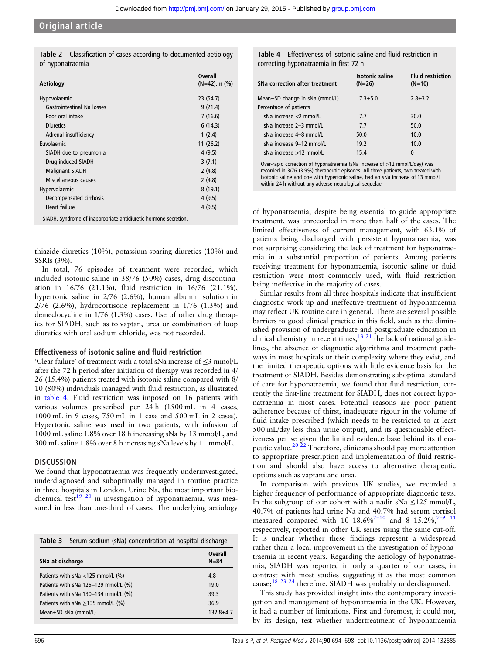<span id="page-2-0"></span>

|                  | <b>Table 2</b> Classification of cases according to documented aetiology |  |  |  |
|------------------|--------------------------------------------------------------------------|--|--|--|
| of hyponatraemia |                                                                          |  |  |  |

| Aetiology                  | <b>Overall</b><br>$(N=42)$ , n $(\%)$ |
|----------------------------|---------------------------------------|
| Hypovolaemic               | 23 (54.7)                             |
| Gastrointestinal Na losses | 9(21.4)                               |
| Poor oral intake           | 7(16.6)                               |
| Diuretics                  | 6(14.3)                               |
| Adrenal insufficiency      | 1(2.4)                                |
| Euvolaemic                 | 11(26.2)                              |
| SIADH due to pneumonia     | 4(9.5)                                |
| Drug-induced SIADH         | 3(7.1)                                |
| <b>Malignant SIADH</b>     | 2(4.8)                                |
| Miscellaneous causes       | 2(4.8)                                |
| Hypervolaemic              | 8(19.1)                               |
| Decompensated cirrhosis    | 4(9.5)                                |
| Heart failure              | 4(9.5)                                |

SIADH, Syndrome of inappropriate antidiuretic hormone secretion.

thiazide diuretics (10%), potassium-sparing diuretics (10%) and SSRIs (3%).

In total, 76 episodes of treatment were recorded, which included isotonic saline in 38/76 (50%) cases, drug discontinuation in 16/76 (21.1%), fluid restriction in 16/76 (21.1%), hypertonic saline in 2/76 (2.6%), human albumin solution in 2/76 (2.6%), hydrocortisone replacement in 1/76 (1.3%) and demeclocycline in 1/76 (1.3%) cases. Use of other drug therapies for SIADH, such as tolvaptan, urea or combination of loop diuretics with oral sodium chloride, was not recorded.

#### Effectiveness of isotonic saline and fluid restriction

'Clear failure' of treatment with a total sNa increase of ≤3 mmol/L after the 72 h period after initiation of therapy was recorded in 4/ 26 (15.4%) patients treated with isotonic saline compared with 8/ 10 (80%) individuals managed with fluid restriction, as illustrated in table 4. Fluid restriction was imposed on 16 patients with various volumes prescribed per 24 h (1500 mL in 4 cases, 1000 mL in 9 cases, 750 mL in 1 case and 500 mL in 2 cases). Hypertonic saline was used in two patients, with infusion of 1000 mL saline 1.8% over 18 h increasing sNa by 13 mmol/L, and 300 mL saline 1.8% over 8 h increasing sNa levels by 11 mmol/L.

#### **DISCUSSION**

We found that hyponatraemia was frequently underinvestigated, underdiagnosed and suboptimally managed in routine practice in three hospitals in London. Urine Na, the most important biochemical test<sup>19 20</sup> in investigation of hyponatraemia, was measured in less than one-third of cases. The underlying aetiology

|                                           | <b>Table 3</b> Serum sodium (sNa) concentration at hospital discharge |                            |
|-------------------------------------------|-----------------------------------------------------------------------|----------------------------|
| SNa at discharge                          |                                                                       | <b>Overall</b><br>$N = 84$ |
|                                           | Patients with sNa $<$ 125 mmol/L (%)                                  | 4.8                        |
| Patients with sNa $125-129$ mmol/L $(\%)$ |                                                                       | 19.0                       |
| Patients with sNa $130-134$ mmol/L $(\%)$ |                                                                       | 39.3                       |
| Patients with sNa $\geq$ 135 mmol/L (%)   |                                                                       | 36.9                       |
|                                           | Mean $\pm$ SD sNa (mmol/L)                                            | $132.8 + 4.7$              |

|  | <b>Table 4</b> Effectiveness of isotonic saline and fluid restriction in |
|--|--------------------------------------------------------------------------|
|  | correcting hyponatraemia in first 72 h                                   |

| SNa correction after treatment                           | <b>Isotonic saline</b><br>$(N=26)$ | <b>Fluid restriction</b><br>$(N=10)$ |  |
|----------------------------------------------------------|------------------------------------|--------------------------------------|--|
| Mean±SD change in sNa (mmol/L)<br>Percentage of patients | $7.3 + 5.0$                        | $2.8 + 3.2$                          |  |
| sNa increase $<$ 2 mmol/L                                | 7.7                                | 30.0                                 |  |
| sNa increase 2-3 mmol/L                                  | 7.7                                | 50.0                                 |  |
| sNa increase 4–8 mmol/L                                  | 50.0                               | 10.0                                 |  |
| sNa increase 9-12 mmol/L                                 | 19.2                               | 10.0                                 |  |
| sNa increase >12 mmol/L                                  | 15.4                               | 0                                    |  |
|                                                          |                                    |                                      |  |

Over-rapid correction of hyponatraemia (sNa increase of >12 mmol/L/day) was recorded in 3/76 (3.9%) therapeutic episodes. All three patients, two treated with isotonic saline and one with hypertonic saline, had an sNa increase of 13 mmol/L within 24 h without any adverse neurological sequelae.

of hyponatraemia, despite being essential to guide appropriate treatment, was unrecorded in more than half of the cases. The limited effectiveness of current management, with 63.1% of patients being discharged with persistent hyponatraemia, was not surprising considering the lack of treatment for hyponatraemia in a substantial proportion of patients. Among patients receiving treatment for hyponatraemia, isotonic saline or fluid restriction were most commonly used, with fluid restriction being ineffective in the majority of cases.

Similar results from all three hospitals indicate that insufficient diagnostic work-up and ineffective treatment of hyponatraemia may reflect UK routine care in general. There are several possible barriers to good clinical practice in this field, such as the diminished provision of undergraduate and postgraduate education in clinical chemistry in recent times, $13 \times 21$  the lack of national guidelines, the absence of diagnostic algorithms and treatment pathways in most hospitals or their complexity where they exist, and the limited therapeutic options with little evidence basis for the treatment of SIADH. Besides demonstrating suboptimal standard of care for hyponatraemia, we found that fluid restriction, currently the first-line treatment for SIADH, does not correct hyponatraemia in most cases. Potential reasons are poor patient adherence because of thirst, inadequate rigour in the volume of fluid intake prescribed (which needs to be restricted to at least 500 mL/day less than urine output), and its questionable effectiveness per se given the limited evidence base behind its thera-peutic value.<sup>[20 22](#page-4-0)</sup> Therefore, clinicians should pay more attention to appropriate prescription and implementation of fluid restriction and should also have access to alternative therapeutic options such as vaptans and urea.

In comparison with previous UK studies, we recorded a higher frequency of performance of appropriate diagnostic tests. In the subgroup of our cohort with a nadir sNa  $\leq$ 125 mmol/L, 40.7% of patients had urine Na and 40.7% had serum cortisol measured compared with  $10-18.6\%^{7-10}$  $10-18.6\%^{7-10}$  and  $8-15.2\%^{7-9}$  $8-15.2\%^{7-9}$  $8-15.2\%^{7-9}$  [11](#page-4-0) respectively, reported in other UK series using the same cut-off. It is unclear whether these findings represent a widespread rather than a local improvement in the investigation of hyponatraemia in recent years. Regarding the aetiology of hyponatraemia, SIADH was reported in only a quarter of our cases, in contrast with most studies suggesting it as the most common cause;[18 23 24](#page-4-0) therefore, SIADH was probably underdiagnosed.

This study has provided insight into the contemporary investigation and management of hyponatraemia in the UK. However, it had a number of limitations. First and foremost, it could not, by its design, test whether undertreatment of hyponatraemia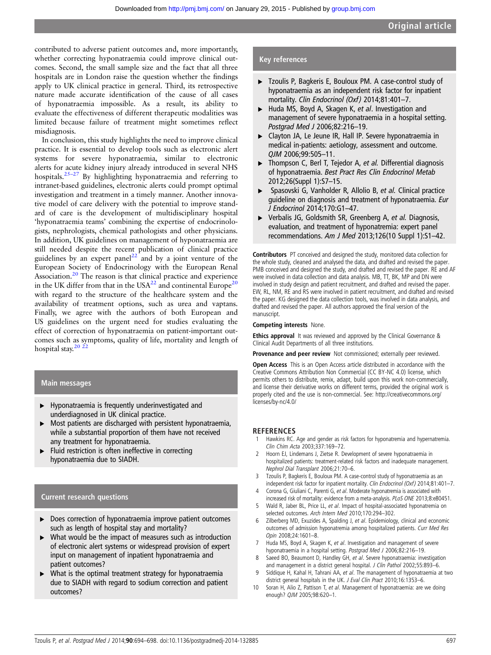<span id="page-3-0"></span>contributed to adverse patient outcomes and, more importantly, whether correcting hyponatraemia could improve clinical outcomes. Second, the small sample size and the fact that all three hospitals are in London raise the question whether the findings apply to UK clinical practice in general. Third, its retrospective nature made accurate identification of the cause of all cases of hyponatraemia impossible. As a result, its ability to evaluate the effectiveness of different therapeutic modalities was limited because failure of treatment might sometimes reflect misdiagnosis.

In conclusion, this study highlights the need to improve clinical practice. It is essential to develop tools such as electronic alert systems for severe hyponatraemia, similar to electronic alerts for acute kidney injury already introduced in several NHS hospitals.25–[27](#page-4-0) By highlighting hyponatraemia and referring to intranet-based guidelines, electronic alerts could prompt optimal investigation and treatment in a timely manner. Another innovative model of care delivery with the potential to improve standard of care is the development of multidisciplinary hospital 'hyponatraemia teams' combining the expertise of endocrinologists, nephrologists, chemical pathologists and other physicians. In addition, UK guidelines on management of hyponatraemia are still needed despite the recent publication of clinical practice guidelines by an expert panel<sup>22</sup> and by a joint venture of the European Society of Endocrinology with the European Renal Association.[20](#page-4-0) The reason is that clinical practice and experience in the UK differ from that in the USA $^{22}$  and continental Europe<sup>20</sup> with regard to the structure of the healthcare system and the availability of treatment options, such as urea and vaptans. Finally, we agree with the authors of both European and US guidelines on the urgent need for studies evaluating the effect of correction of hyponatraemia on patient-important outcomes such as symptoms, quality of life, mortality and length of hospital stay.<sup>20</sup><sup>22</sup>

#### Main messages

- ▸ Hyponatraemia is frequently underinvestigated and underdiagnosed in UK clinical practice.
- $\triangleright$  Most patients are discharged with persistent hyponatraemia, while a substantial proportion of them have not received any treatment for hyponatraemia.
- ▸ Fluid restriction is often ineffective in correcting hyponatraemia due to SIADH.

#### Current research questions

- ▶ Does correction of hyponatraemia improve patient outcomes such as length of hospital stay and mortality?
- What would be the impact of measures such as introduction of electronic alert systems or widespread provision of expert input on management of inpatient hyponatraemia and patient outcomes?
- What is the optimal treatment strategy for hyponatraemia due to SIADH with regard to sodium correction and patient outcomes?

#### Key references

- ▸ Tzoulis P, Bagkeris E, Bouloux PM. A case-control study of hyponatraemia as an independent risk factor for inpatient mortality. Clin Endocrinol (Oxf) 2014;81:401-7.
- ► Huda MS, Boyd A, Skagen K, et al. Investigation and management of severe hyponatraemia in a hospital setting. Postgrad Med J 2006;82:216–19.
- ▸ Clayton JA, Le Jeune IR, Hall IP. Severe hyponatraemia in medical in-patients: aetiology, assessment and outcome. QJM 2006;99:505–11.
- ▶ Thompson C, Berl T, Tejedor A, et al. Differential diagnosis of hyponatraemia. Best Pract Res Clin Endocrinol Metab 2012;26(Suppl 1):S7–15.
- Spasovski G, Vanholder R, Allolio B, et al. Clinical practice guideline on diagnosis and treatment of hyponatraemia. Eur J Endocrinol 2014;170:G1–47.
- ▶ Verbalis JG, Goldsmith SR, Greenberg A, et al. Diagnosis, evaluation, and treatment of hyponatremia: expert panel recommendations. Am J Med 2013;126(10 Suppl 1):S1–42.

Contributors PT conceived and designed the study, monitored data collection for the whole study, cleaned and analysed the data, and drafted and revised the paper. PMB conceived and designed the study, and drafted and revised the paper. RE and AF were involved in data collection and data analysis. MB, TT, BK, MP and DN were involved in study design and patient recruitment, and drafted and revised the paper. EW, RL, NM, RE and RS were involved in patient recruitment, and drafted and revised the paper. KG designed the data collection tools, was involved in data analysis, and drafted and revised the paper. All authors approved the final version of the manuscript.

#### Competing interests None.

Ethics approval It was reviewed and approved by the Clinical Governance & Clinical Audit Departments of all three institutions.

Provenance and peer review Not commissioned; externally peer reviewed.

Open Access This is an Open Access article distributed in accordance with the Creative Commons Attribution Non Commercial (CC BY-NC 4.0) license, which permits others to distribute, remix, adapt, build upon this work non-commercially, and license their derivative works on different terms, provided the original work is properly cited and the use is non-commercial. See: http://creativecommons.org/ licenses/by-nc/4.0/

#### **REFERENCES**

- 1 Hawkins RC. Age and gender as risk factors for hyponatremia and hypernatremia. Clin Chim Acta 2003;337:169–72.
- 2 Hoorn EJ, Lindemans J, Zietse R. Development of severe hyponatraemia in hospitalized patients: treatment-related risk factors and inadequate management. Nephrol Dial Transplant 2006;21:70–6.
- Tzoulis P, Bagkeris E, Bouloux PM. A case-control study of hyponatraemia as an independent risk factor for inpatient mortality. Clin Endocrinol (Oxf) 2014;81:401–7.
- 4 Corona G, Giuliani C, Parenti G, et al. Moderate hyponatremia is associated with increased risk of mortality: evidence from a meta-analysis. PLoS ONE 2013;8:e80451.
- 5 Wald R, Jaber BL, Price LL, et al. Impact of hospital-associated hyponatremia on selected outcomes. Arch Intern Med 2010;170:294–302.
- 6 Zilberberg MD, Exuzides A, Spalding J, et al. Epidemiology, clinical and economic outcomes of admission hyponatremia among hospitalized patients. Curr Med Res Opin 2008;24:1601–8.
- 7 Huda MS, Boyd A, Skagen K, et al. Investigation and management of severe hyponatraemia in a hospital setting. Postgrad Med J 2006;82:216–19.
- 8 Saeed BO, Beaumont D, Handley GH, et al. Severe hyponatraemia: investigation and management in a district general hospital. J Clin Pathol 2002;55:893-6.
- 9 Siddique H, Kahal H, Tahrani AA, et al. The management of hyponatraemia at two district general hospitals in the UK. J Eval Clin Pract 2010;16:1353-6.
- 10 Soran H, Alio Z, Pattison T, et al. Management of hyponatraemia: are we doing enough? QJM 2005;98:620–1.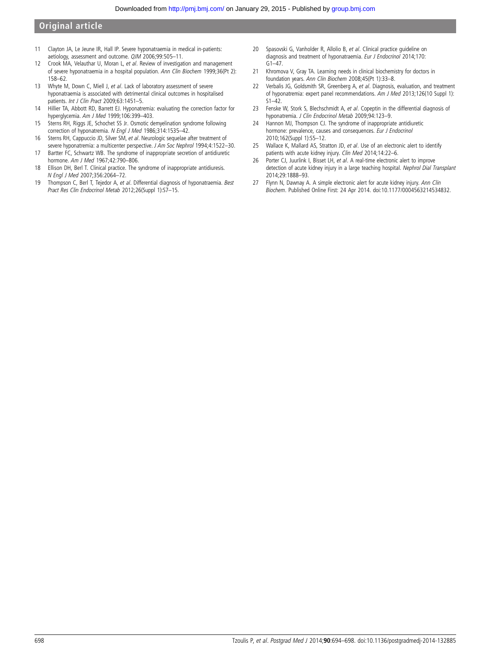### <span id="page-4-0"></span>Original article

- 11 Clayton JA, Le Jeune IR, Hall IP. Severe hyponatraemia in medical in-patients: aetiology, assessment and outcome. QJM 2006;99:505–11.
- 12 Crook MA, Velauthar U, Moran L, et al. Review of investigation and management of severe hyponatraemia in a hospital population. Ann Clin Biochem 1999;36(Pt 2): 158–62.
- 13 Whyte M, Down C, Miell J, et al. Lack of laboratory assessment of severe hyponatraemia is associated with detrimental clinical outcomes in hospitalised patients. Int J Clin Pract 2009;63:1451–5.
- 14 Hillier TA, Abbott RD, Barrett EJ. Hyponatremia: evaluating the correction factor for hyperglycemia. Am J Med 1999;106:399–403.
- 15 Sterns RH, Riggs JE, Schochet SS Jr. Osmotic demyelination syndrome following correction of hyponatremia. N Engl J Med 1986;314:1535–42.
- 16 Sterns RH, Cappuccio JD, Silver SM, et al. Neurologic sequelae after treatment of severe hyponatremia: a multicenter perspective. J Am Soc Nephrol 1994;4:1522-30.
- 17 Bartter FC, Schwartz WB. The syndrome of inappropriate secretion of antidiuretic hormone. Am J Med 1967;42:790–806.
- 18 Ellison DH, Berl T. Clinical practice. The syndrome of inappropriate antidiuresis. N Engl J Med 2007;356:2064–72.
- 19 Thompson C, Berl T, Tejedor A, et al. Differential diagnosis of hyponatraemia. Best Pract Res Clin Endocrinol Metab 2012;26(Suppl 1):S7–15.
- 20 Spasovski G, Vanholder R, Allolio B, et al. Clinical practice guideline on diagnosis and treatment of hyponatraemia. Eur J Endocrinol 2014;170:  $G1 - 47$
- 21 Khromova V, Gray TA. Learning needs in clinical biochemistry for doctors in foundation years. Ann Clin Biochem 2008;45(Pt 1):33–8.
- 22 Verbalis JG, Goldsmith SR, Greenberg A, et al. Diagnosis, evaluation, and treatment of hyponatremia: expert panel recommendations. Am J Med 2013;126(10 Suppl 1):  $S1 - 42$
- 23 Fenske W, Stork S, Blechschmidt A, et al. Copeptin in the differential diagnosis of hyponatremia. J Clin Endocrinol Metab 2009;94:123–9.
- 24 Hannon MJ, Thompson CJ. The syndrome of inappropriate antidiuretic hormone: prevalence, causes and consequences. Eur J Endocrinol 2010;162(Suppl 1):S5–12.
- 25 Wallace K, Mallard AS, Stratton JD, et al. Use of an electronic alert to identify patients with acute kidney injury. Clin Med 2014;14:22–6.
- 26 Porter CJ, Juurlink I, Bisset LH, et al. A real-time electronic alert to improve detection of acute kidney injury in a large teaching hospital. Nephrol Dial Transplant 2014;29:1888–93.
- 27 Flynn N, Dawnay A. A simple electronic alert for acute kidney injury. Ann Clin Biochem. Published Online First: 24 Apr 2014. doi:10.1177/0004563214534832.